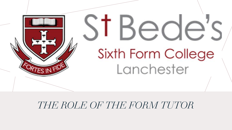

### *THE ROLE OF THE FORM TUTOR*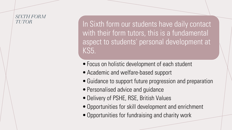### *SIXTH FORM*

*TUTOR* **In Sixth form our students have daily contact** with their form tutors, this is a fundamental aspect to students' personal development at KS5.

- •Focus on holistic development of each student
- Academic and welfare-based support
- Guidance to support future progression and preparation
- Personalised advice and guidance
- •Delivery of PSHE, RSE, British Values
- •Opportunities for skill development and enrichment
- •Opportunities for fundraising and charity work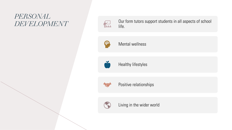# *PERSONAL*



*DEVELOPMENT* **Our form tutors support students in all aspects of school** life.



Mental wellness



Healthy lifestyles



Positive relationships



Living in the wider world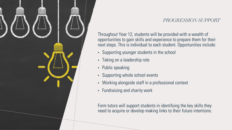

#### *PROGRESSION SUPPORT*

Throughout Year 12, students will be provided with a wealth of opportunities to gain skills and experience to prepare them for their next steps. This is individual to each student. Opportunities include:

- Supporting younger students in the school
- Taking on a leadership role
- Public speaking
- Supporting whole school events
- Working alongside staff in a professional context
- Fundraising and charity work

Form tutors will support students in identifying the key skills they need to acquire or develop making links to their future intentions.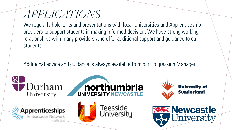## *APPLICATIONS*

We regularly hold talks and presentations with local Universities and Apprenticeship providers to support students in making informed decision. We have strong working relationships with many providers who offer additional support and guidance to our students.

Additional advice and guidance is always available from our Progression Manager.